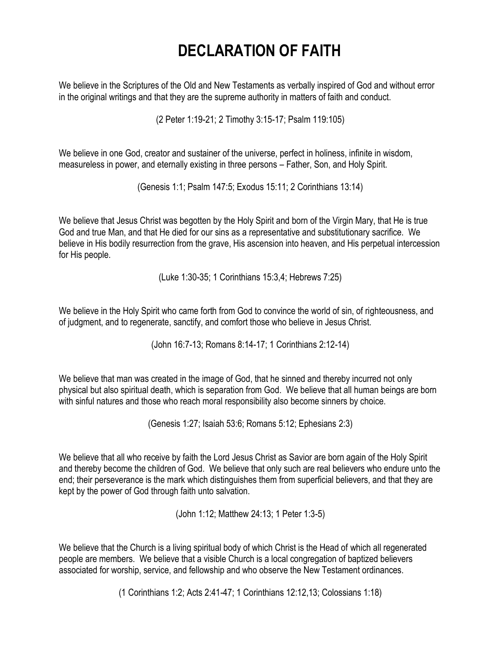## **DECLARATION OF FAITH**

We believe in the Scriptures of the Old and New Testaments as verbally inspired of God and without error in the original writings and that they are the supreme authority in matters of faith and conduct.

(2 Peter 1:19-21; 2 Timothy 3:15-17; Psalm 119:105)

We believe in one God, creator and sustainer of the universe, perfect in holiness, infinite in wisdom, measureless in power, and eternally existing in three persons – Father, Son, and Holy Spirit.

(Genesis 1:1; Psalm 147:5; Exodus 15:11; 2 Corinthians 13:14)

We believe that Jesus Christ was begotten by the Holy Spirit and born of the Virgin Mary, that He is true God and true Man, and that He died for our sins as a representative and substitutionary sacrifice. We believe in His bodily resurrection from the grave, His ascension into heaven, and His perpetual intercession for His people.

(Luke 1:30-35; 1 Corinthians 15:3,4; Hebrews 7:25)

We believe in the Holy Spirit who came forth from God to convince the world of sin, of righteousness, and of judgment, and to regenerate, sanctify, and comfort those who believe in Jesus Christ.

(John 16:7-13; Romans 8:14-17; 1 Corinthians 2:12-14)

We believe that man was created in the image of God, that he sinned and thereby incurred not only physical but also spiritual death, which is separation from God. We believe that all human beings are born with sinful natures and those who reach moral responsibility also become sinners by choice.

(Genesis 1:27; Isaiah 53:6; Romans 5:12; Ephesians 2:3)

We believe that all who receive by faith the Lord Jesus Christ as Savior are born again of the Holy Spirit and thereby become the children of God. We believe that only such are real believers who endure unto the end; their perseverance is the mark which distinguishes them from superficial believers, and that they are kept by the power of God through faith unto salvation.

(John 1:12; Matthew 24:13; 1 Peter 1:3-5)

We believe that the Church is a living spiritual body of which Christ is the Head of which all regenerated people are members. We believe that a visible Church is a local congregation of baptized believers associated for worship, service, and fellowship and who observe the New Testament ordinances.

(1 Corinthians 1:2; Acts 2:41-47; 1 Corinthians 12:12,13; Colossians 1:18)